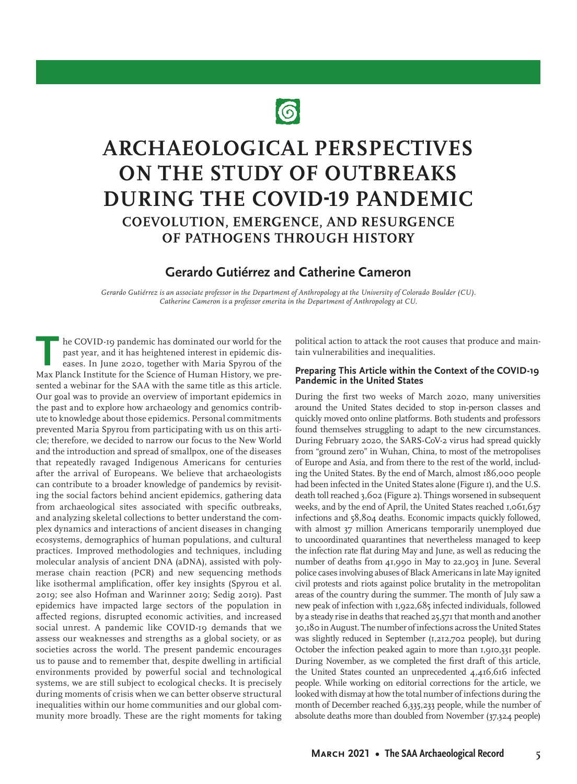# 6

## **ARCHAEOLOGICAL PERSPECTIVES ON THE STUDY OF OUTBREAKS DURING THE COVID-19 PANDEMIC COEVOLUTION, EMERGENCE, AND RESURGENCE OF PATHOGENS THROUGH HISTORY**

### **Gerardo Gutiérrez and Catherine Cameron**

*Gerardo Gutiérrez is an associate professor in the Department of Anthropology at the University of Colorado Boulder (CU). Catherine Cameron is a professor emerita in the Department of Anthropology at CU.*

he COVID-19 pandemic has dominated our world for the past year, and it has heightened interest in epidemic diseases. In June 2020, together with Maria Spyrou of the he COVID-19 pandemic has dominated our world for the past year, and it has heightened interest in epidemic diseases. In June 2020, together with Maria Spyrou of the Max Planck Institute for the Science of Human History, we sented a webinar for the SAA with the same title as this article. Our goal was to provide an overview of important epidemics in the past and to explore how archaeology and genomics contribute to knowledge about those epidemics. Personal commitments prevented Maria Spyrou from participating with us on this article; therefore, we decided to narrow our focus to the New World and the introduction and spread of smallpox, one of the diseases that repeatedly ravaged Indigenous Americans for centuries after the arrival of Europeans. We believe that archaeologists can contribute to a broader knowledge of pandemics by revisiting the social factors behind ancient epidemics, gathering data from archaeological sites associated with specific outbreaks, and analyzing skeletal collections to better understand the complex dynamics and interactions of ancient diseases in changing ecosystems, demographics of human populations, and cultural practices. Improved methodologies and techniques, including molecular analysis of ancient DNA (aDNA), assisted with polymerase chain reaction (PCR) and new sequencing methods like isothermal amplification, offer key insights (Spyrou et al. 2019; see also Hofman and Warinner 2019; Sedig 2019). Past epidemics have impacted large sectors of the population in affected regions, disrupted economic activities, and increased social unrest. A pandemic like COVID-19 demands that we assess our weaknesses and strengths as a global society, or as societies across the world. The present pandemic encourages us to pause and to remember that, despite dwelling in artificial environments provided by powerful social and technological systems, we are still subject to ecological checks. It is precisely during moments of crisis when we can better observe structural inequalities within our home communities and our global community more broadly. These are the right moments for taking

political action to attack the root causes that produce and maintain vulnerabilities and inequalities.

#### **Preparing This Article within the Context of the COVID-19 Pandemic in the United States**

During the first two weeks of March 2020, many universities around the United States decided to stop in-person classes and quickly moved onto online platforms. Both students and professors found themselves struggling to adapt to the new circumstances. During February 2020, the SARS-CoV-2 virus had spread quickly from "ground zero" in Wuhan, China, to most of the metropolises of Europe and Asia, and from there to the rest of the world, including the United States. By the end of March, almost 186,000 people had been infected in the United States alone (Figure 1), and the U.S. death toll reached 3,602 (Figure 2). Things worsened in subsequent weeks, and by the end of April, the United States reached 1,061,637 infections and 58,804 deaths. Economic impacts quickly followed, with almost 37 million Americans temporarily unemployed due to uncoordinated quarantines that nevertheless managed to keep the infection rate flat during May and June, as well as reducing the number of deaths from 41,990 in May to 22,903 in June. Several police cases involving abuses of Black Americans in late May ignited civil protests and riots against police brutality in the metropolitan areas of the country during the summer. The month of July saw a new peak of infection with 1,922,685 infected individuals, followed by a steady rise in deaths that reached 25,571 that month and another 30,180 in August. The number of infections across the United States was slightly reduced in September (1,212,702 people), but during October the infection peaked again to more than 1,910,331 people. During November, as we completed the first draft of this article, the United States counted an unprecedented 4,416,616 infected people. While working on editorial corrections for the article, we looked with dismay at how the total number of infections during the month of December reached 6,335,233 people, while the number of absolute deaths more than doubled from November (37,324 people)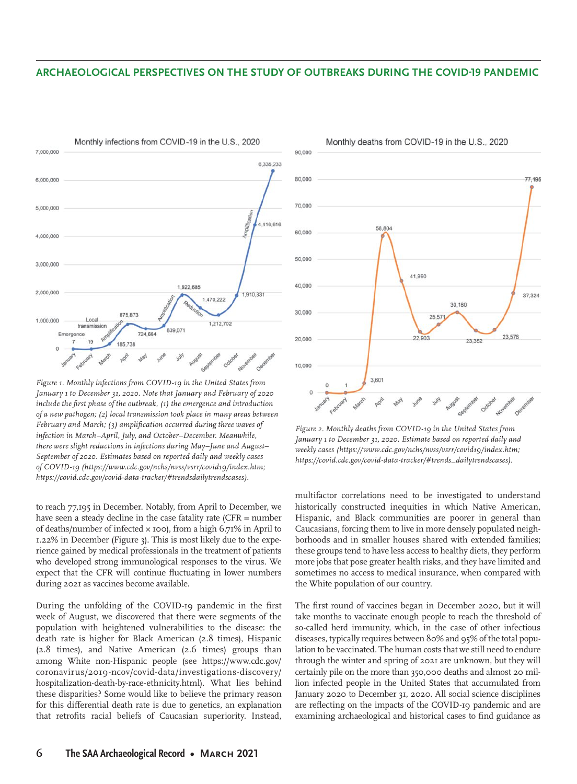90,000



*Figure 1. Monthly infections from COVID-19 in the United States from January 1 to December 31, 2020. Note that January and February of 2020 include the first phase of the outbreak, (1) the emergence and introduction of a new pathogen; (2) local transmission took place in many areas between February and March; (3) amplification occurred during three waves of infection in March–April, July, and October–December. Meanwhile, there were slight reductions in infections during May–June and August– September of 2020. Estimates based on reported daily and weekly cases of COVID-19 (https://www.cdc.gov/nchs/nvss/vsrr/covid19/index.htm; https://covid.cdc.gov/covid-data-tracker/#trendsdailytrendscases).*

to reach 77,195 in December. Notably, from April to December, we have seen a steady decline in the case fatality rate (CFR = number of deaths/number of infected  $\times$  100), from a high 6.71% in April to 1.22% in December (Figure 3). This is most likely due to the experience gained by medical professionals in the treatment of patients who developed strong immunological responses to the virus. We expect that the CFR will continue fluctuating in lower numbers during 2021 as vaccines become available.

During the unfolding of the COVID-19 pandemic in the first week of August, we discovered that there were segments of the population with heightened vulnerabilities to the disease: the death rate is higher for Black American (2.8 times), Hispanic (2.8 times), and Native American (2.6 times) groups than among White non-Hispanic people (see https://www.cdc.gov/ coronavirus/2019-ncov/covid-data/investigations-discovery/ hospitalization-death-by-race-ethnicity.html). What lies behind these disparities? Some would like to believe the primary reason for this differential death rate is due to genetics, an explanation that retrofits racial beliefs of Caucasian superiority. Instead,



*Figure 2. Monthly deaths from COVID-19 in the United States from January 1 to December 31, 2020. Estimate based on reported daily and weekly cases (https://www.cdc.gov/nchs/nvss/vsrr/covid19/index.htm; https://covid.cdc.gov/covid-data-tracker/#trends\_dailytrendscases).*

multifactor correlations need to be investigated to understand historically constructed inequities in which Native American, Hispanic, and Black communities are poorer in general than Caucasians, forcing them to live in more densely populated neighborhoods and in smaller houses shared with extended families; these groups tend to have less access to healthy diets, they perform more jobs that pose greater health risks, and they have limited and sometimes no access to medical insurance, when compared with the White population of our country.

The first round of vaccines began in December 2020, but it will take months to vaccinate enough people to reach the threshold of so-called herd immunity, which, in the case of other infectious diseases, typically requires between 80% and 95% of the total population to be vaccinated. The human costs that we still need to endure through the winter and spring of 2021 are unknown, but they will certainly pile on the more than 350,000 deaths and almost 20 million infected people in the United States that accumulated from January 2020 to December 31, 2020. All social science disciplines are reflecting on the impacts of the COVID-19 pandemic and are examining archaeological and historical cases to find guidance as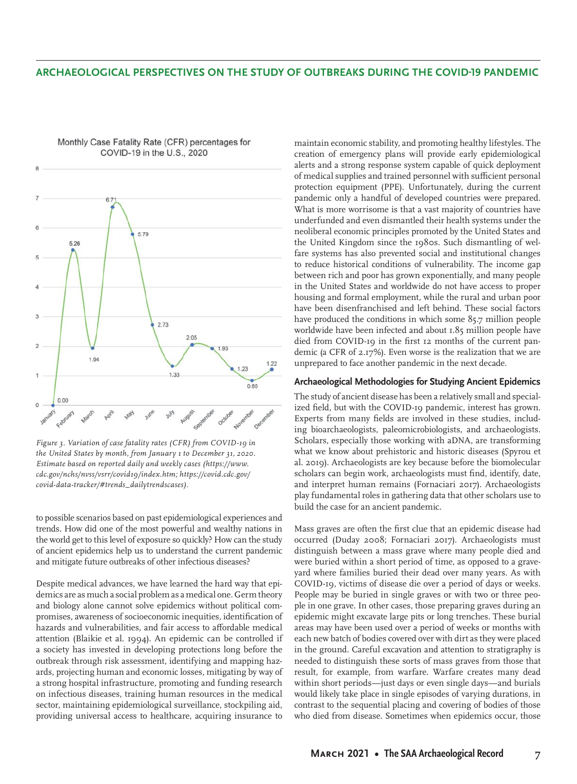

Monthly Case Fatality Rate (CFR) percentages for COVID-19 in the U.S., 2020

*Figure 3. Variation of case fatality rates (CFR) from COVID-19 in the United States by month, from January 1 to December 31, 2020. Estimate based on reported daily and weekly cases (https://www. cdc.gov/nchs/nvss/vsrr/covid19/index.htm; https://covid.cdc.gov/ covid-data-tracker/#trends\_dailytrendscases).*

to possible scenarios based on past epidemiological experiences and trends. How did one of the most powerful and wealthy nations in the world get to this level of exposure so quickly? How can the study of ancient epidemics help us to understand the current pandemic and mitigate future outbreaks of other infectious diseases?

Despite medical advances, we have learned the hard way that epidemics are as much a social problem as a medical one. Germ theory and biology alone cannot solve epidemics without political compromises, awareness of socioeconomic inequities, identification of hazards and vulnerabilities, and fair access to affordable medical attention (Blaikie et al. 1994). An epidemic can be controlled if a society has invested in developing protections long before the outbreak through risk assessment, identifying and mapping hazards, projecting human and economic losses, mitigating by way of a strong hospital infrastructure, promoting and funding research on infectious diseases, training human resources in the medical sector, maintaining epidemiological surveillance, stockpiling aid, providing universal access to healthcare, acquiring insurance to

maintain economic stability, and promoting healthy lifestyles. The creation of emergency plans will provide early epidemiological alerts and a strong response system capable of quick deployment of medical supplies and trained personnel with sufficient personal protection equipment (PPE). Unfortunately, during the current pandemic only a handful of developed countries were prepared. What is more worrisome is that a vast majority of countries have underfunded and even dismantled their health systems under the neoliberal economic principles promoted by the United States and the United Kingdom since the 1980s. Such dismantling of welfare systems has also prevented social and institutional changes to reduce historical conditions of vulnerability. The income gap between rich and poor has grown exponentially, and many people in the United States and worldwide do not have access to proper housing and formal employment, while the rural and urban poor have been disenfranchised and left behind. These social factors have produced the conditions in which some 85.7 million people worldwide have been infected and about 1.85 million people have died from COVID-19 in the first 12 months of the current pandemic (a CFR of 2.17%). Even worse is the realization that we are unprepared to face another pandemic in the next decade.

#### **Archaeological Methodologies for Studying Ancient Epidemics**

The study of ancient disease has been a relatively small and specialized field, but with the COVID-19 pandemic, interest has grown. Experts from many fields are involved in these studies, including bioarchaeologists, paleomicrobiologists, and archaeologists. Scholars, especially those working with aDNA, are transforming what we know about prehistoric and historic diseases (Spyrou et al. 2019). Archaeologists are key because before the biomolecular scholars can begin work, archaeologists must find, identify, date, and interpret human remains (Fornaciari 2017). Archaeologists play fundamental roles in gathering data that other scholars use to build the case for an ancient pandemic.

Mass graves are often the first clue that an epidemic disease had occurred (Duday 2008; Fornaciari 2017). Archaeologists must distinguish between a mass grave where many people died and were buried within a short period of time, as opposed to a graveyard where families buried their dead over many years. As with COVID-19, victims of disease die over a period of days or weeks. People may be buried in single graves or with two or three people in one grave. In other cases, those preparing graves during an epidemic might excavate large pits or long trenches. These burial areas may have been used over a period of weeks or months with each new batch of bodies covered over with dirt as they were placed in the ground. Careful excavation and attention to stratigraphy is needed to distinguish these sorts of mass graves from those that result, for example, from warfare. Warfare creates many dead within short periods—just days or even single days—and burials would likely take place in single episodes of varying durations, in contrast to the sequential placing and covering of bodies of those who died from disease. Sometimes when epidemics occur, those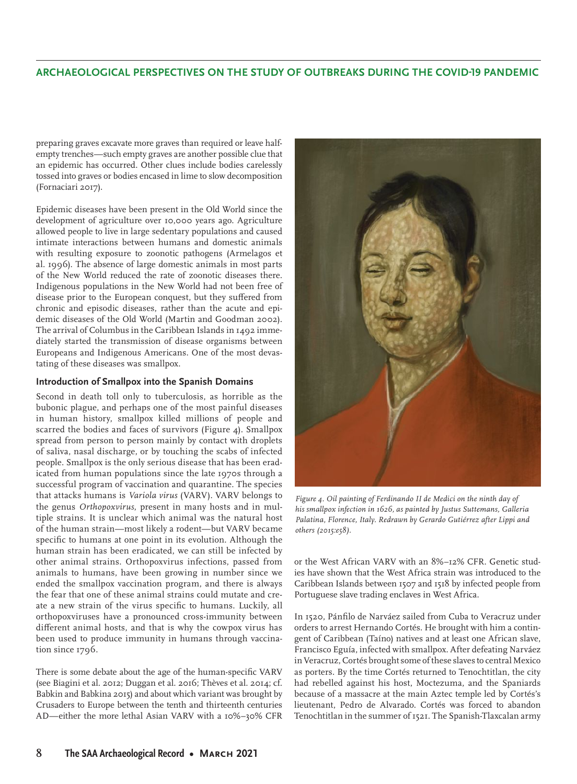preparing graves excavate more graves than required or leave halfempty trenches—such empty graves are another possible clue that an epidemic has occurred. Other clues include bodies carelessly tossed into graves or bodies encased in lime to slow decomposition (Fornaciari 2017).

Epidemic diseases have been present in the Old World since the development of agriculture over 10,000 years ago. Agriculture allowed people to live in large sedentary populations and caused intimate interactions between humans and domestic animals with resulting exposure to zoonotic pathogens (Armelagos et al. 1996). The absence of large domestic animals in most parts of the New World reduced the rate of zoonotic diseases there. Indigenous populations in the New World had not been free of disease prior to the European conquest, but they suffered from chronic and episodic diseases, rather than the acute and epidemic diseases of the Old World (Martin and Goodman 2002). The arrival of Columbus in the Caribbean Islands in 1492 immediately started the transmission of disease organisms between Europeans and Indigenous Americans. One of the most devastating of these diseases was smallpox.

#### **Introduction of Smallpox into the Spanish Domains**

Second in death toll only to tuberculosis, as horrible as the bubonic plague, and perhaps one of the most painful diseases in human history, smallpox killed millions of people and scarred the bodies and faces of survivors (Figure 4). Smallpox spread from person to person mainly by contact with droplets of saliva, nasal discharge, or by touching the scabs of infected people. Smallpox is the only serious disease that has been eradicated from human populations since the late 1970s through a successful program of vaccination and quarantine. The species that attacks humans is *Variola virus* (VARV). VARV belongs to the genus *Orthopoxvirus*, present in many hosts and in multiple strains. It is unclear which animal was the natural host of the human strain—most likely a rodent—but VARV became specific to humans at one point in its evolution. Although the human strain has been eradicated, we can still be infected by other animal strains. Orthopoxvirus infections, passed from animals to humans, have been growing in number since we ended the smallpox vaccination program, and there is always the fear that one of these animal strains could mutate and create a new strain of the virus specific to humans. Luckily, all orthopoxviruses have a pronounced cross-immunity between different animal hosts, and that is why the cowpox virus has been used to produce immunity in humans through vaccination since 1796.

There is some debate about the age of the human-specific VARV (see Biagini et al. 2012; Duggan et al. 2016; Thèves et al. 2014; cf. Babkin and Babkina 2015) and about which variant was brought by Crusaders to Europe between the tenth and thirteenth centuries AD—either the more lethal Asian VARV with a 10%–30% CFR



*Figure 4. Oil painting of Ferdinando II de Medici on the ninth day of his smallpox infection in 1626, as painted by Justus Suttemans, Galleria Palatina, Florence, Italy. Redrawn by Gerardo Gutiérrez after Lippi and others (2015:e58).*

or the West African VARV with an 8%–12% CFR. Genetic studies have shown that the West Africa strain was introduced to the Caribbean Islands between 1507 and 1518 by infected people from Portuguese slave trading enclaves in West Africa.

In 1520, Pánfilo de Narváez sailed from Cuba to Veracruz under orders to arrest Hernando Cortés. He brought with him a contingent of Caribbean (Taíno) natives and at least one African slave, Francisco Eguía, infected with smallpox. After defeating Narváez in Veracruz, Cortés brought some of these slaves to central Mexico as porters. By the time Cortés returned to Tenochtitlan, the city had rebelled against his host, Moctezuma, and the Spaniards because of a massacre at the main Aztec temple led by Cortés's lieutenant, Pedro de Alvarado. Cortés was forced to abandon Tenochtitlan in the summer of 1521. The Spanish-Tlaxcalan army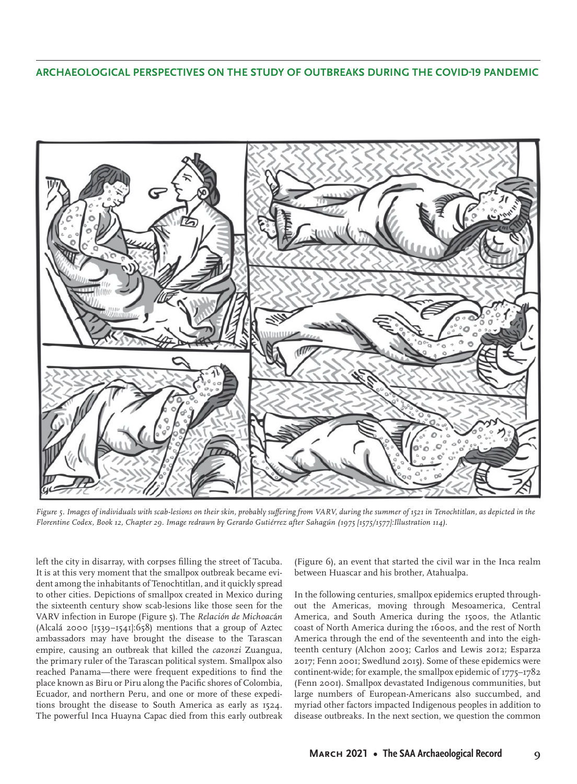

*Figure 5. Images of individuals with scab-lesions on their skin, probably suffering from VARV, during the summer of 1521 in Tenochtitlan, as depicted in the Florentine Codex, Book 12, Chapter 29. Image redrawn by Gerardo Gutiérrez after Sahagún (1975 [1575/1577]:Illustration 114).*

left the city in disarray, with corpses filling the street of Tacuba. It is at this very moment that the smallpox outbreak became evident among the inhabitants of Tenochtitlan, and it quickly spread to other cities. Depictions of smallpox created in Mexico during the sixteenth century show scab-lesions like those seen for the VARV infection in Europe (Figure 5). The *Relación de Michoac*á*n* (Alcalá 2000 [1539–1541]:658) mentions that a group of Aztec ambassadors may have brought the disease to the Tarascan empire, causing an outbreak that killed the *cazonzi* Zuangua, the primary ruler of the Tarascan political system. Smallpox also reached Panama—there were frequent expeditions to find the place known as Biru or Piru along the Pacific shores of Colombia, Ecuador, and northern Peru, and one or more of these expeditions brought the disease to South America as early as 1524. The powerful Inca Huayna Capac died from this early outbreak

(Figure 6), an event that started the civil war in the Inca realm between Huascar and his brother, Atahualpa.

In the following centuries, smallpox epidemics erupted throughout the Americas, moving through Mesoamerica, Central America, and South America during the 1500s, the Atlantic coast of North America during the 1600s, and the rest of North America through the end of the seventeenth and into the eighteenth century (Alchon 2003; Carlos and Lewis 2012; Esparza 2017; Fenn 2001; Swedlund 2015). Some of these epidemics were continent-wide; for example, the smallpox epidemic of 1775–1782 (Fenn 2001). Smallpox devastated Indigenous communities, but large numbers of European-Americans also succumbed, and myriad other factors impacted Indigenous peoples in addition to disease outbreaks. In the next section, we question the common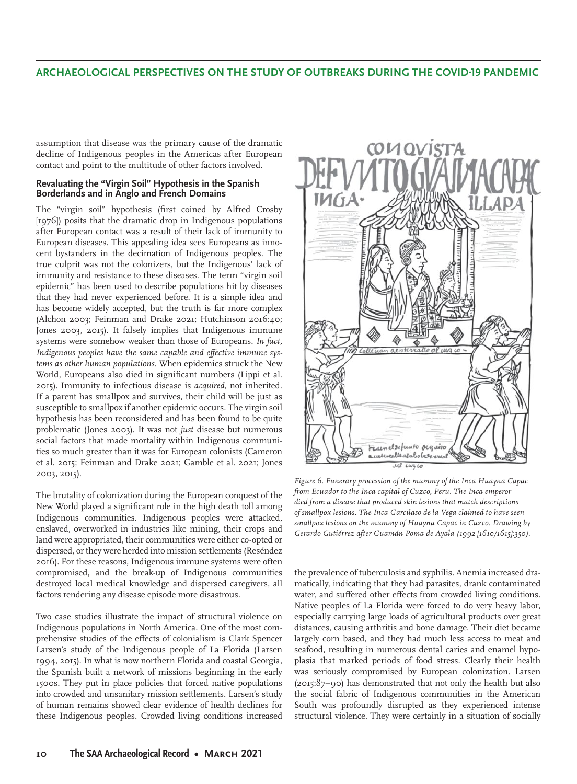assumption that disease was the primary cause of the dramatic decline of Indigenous peoples in the Americas after European contact and point to the multitude of other factors involved.

#### **Revaluating the "Virgin Soil" Hypothesis in the Spanish Borderlands and in Anglo and French Domains**

The "virgin soil" hypothesis (first coined by Alfred Crosby [1976]) posits that the dramatic drop in Indigenous populations after European contact was a result of their lack of immunity to European diseases. This appealing idea sees Europeans as innocent bystanders in the decimation of Indigenous peoples. The true culprit was not the colonizers, but the Indigenous' lack of immunity and resistance to these diseases. The term "virgin soil epidemic" has been used to describe populations hit by diseases that they had never experienced before. It is a simple idea and has become widely accepted, but the truth is far more complex (Alchon 2003; Feinman and Drake 2021; Hutchinson 2016:40; Jones 2003, 2015). It falsely implies that Indigenous immune systems were somehow weaker than those of Europeans. *In fact, Indigenous peoples have the same capable and effective immune systems as other human populations.* When epidemics struck the New World, Europeans also died in significant numbers (Lippi et al. 2015). Immunity to infectious disease is *acquired*, not inherited. If a parent has smallpox and survives, their child will be just as susceptible to smallpox if another epidemic occurs. The virgin soil hypothesis has been reconsidered and has been found to be quite problematic (Jones 2003). It was not *just* disease but numerous social factors that made mortality within Indigenous communities so much greater than it was for European colonists (Cameron et al. 2015; Feinman and Drake 2021; Gamble et al. 2021; Jones 2003, 2015).

The brutality of colonization during the European conquest of the New World played a significant role in the high death toll among Indigenous communities. Indigenous peoples were attacked, enslaved, overworked in industries like mining, their crops and land were appropriated, their communities were either co-opted or dispersed, or they were herded into mission settlements (Reséndez 2016). For these reasons, Indigenous immune systems were often compromised, and the break-up of Indigenous communities destroyed local medical knowledge and dispersed caregivers, all factors rendering any disease episode more disastrous.

Two case studies illustrate the impact of structural violence on Indigenous populations in North America. One of the most comprehensive studies of the effects of colonialism is Clark Spencer Larsen's study of the Indigenous people of La Florida (Larsen 1994, 2015). In what is now northern Florida and coastal Georgia, the Spanish built a network of missions beginning in the early 1500s. They put in place policies that forced native populations into crowded and unsanitary mission settlements. Larsen's study of human remains showed clear evidence of health declines for these Indigenous peoples. Crowded living conditions increased



*Figure 6. Funerary procession of the mummy of the Inca Huayna Capac from Ecuador to the Inca capital of Cuzco, Peru. The Inca emperor died from a disease that produced skin lesions that match descriptions of smallpox lesions. The Inca Garcilaso de la Vega claimed to have seen smallpox lesions on the mummy of Huayna Capac in Cuzco. Drawing by Gerardo Gutiérrez after Guamán Poma de Ayala (1992 [1610/1615]:350).* 

the prevalence of tuberculosis and syphilis. Anemia increased dramatically, indicating that they had parasites, drank contaminated water, and suffered other effects from crowded living conditions. Native peoples of La Florida were forced to do very heavy labor, especially carrying large loads of agricultural products over great distances, causing arthritis and bone damage. Their diet became largely corn based, and they had much less access to meat and seafood, resulting in numerous dental caries and enamel hypoplasia that marked periods of food stress. Clearly their health was seriously compromised by European colonization. Larsen (2015:87–90) has demonstrated that not only the health but also the social fabric of Indigenous communities in the American South was profoundly disrupted as they experienced intense structural violence. They were certainly in a situation of socially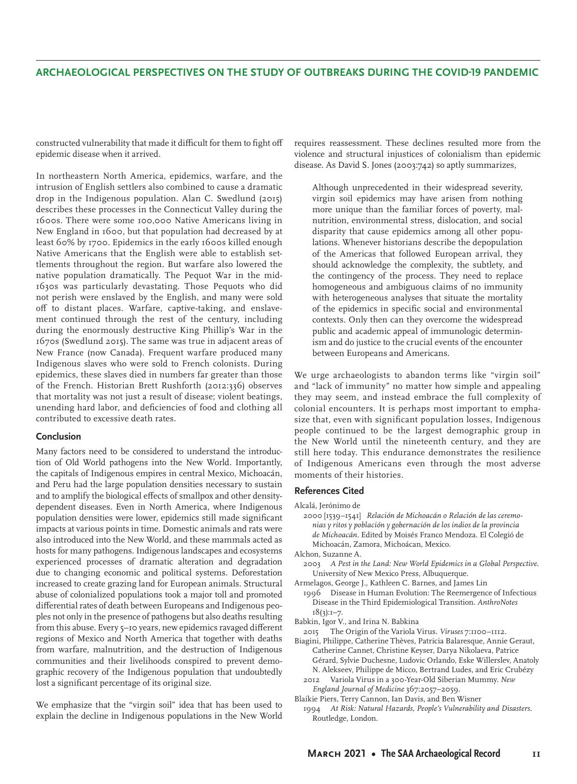constructed vulnerability that made it difficult for them to fight off epidemic disease when it arrived.

In northeastern North America, epidemics, warfare, and the intrusion of English settlers also combined to cause a dramatic drop in the Indigenous population. Alan C. Swedlund (2015) describes these processes in the Connecticut Valley during the 1600s. There were some 100,000 Native Americans living in New England in 1600, but that population had decreased by at least 60% by 1700. Epidemics in the early 1600s killed enough Native Americans that the English were able to establish settlements throughout the region. But warfare also lowered the native population dramatically. The Pequot War in the mid-1630s was particularly devastating. Those Pequots who did not perish were enslaved by the English, and many were sold off to distant places. Warfare, captive-taking, and enslavement continued through the rest of the century, including during the enormously destructive King Phillip's War in the 1670s (Swedlund 2015). The same was true in adjacent areas of New France (now Canada). Frequent warfare produced many Indigenous slaves who were sold to French colonists. During epidemics, these slaves died in numbers far greater than those of the French. Historian Brett Rushforth (2012:336) observes that mortality was not just a result of disease; violent beatings, unending hard labor, and deficiencies of food and clothing all contributed to excessive death rates.

#### **Conclusion**

Many factors need to be considered to understand the introduction of Old World pathogens into the New World. Importantly, the capitals of Indigenous empires in central Mexico, Michoacán, and Peru had the large population densities necessary to sustain and to amplify the biological effects of smallpox and other densitydependent diseases. Even in North America, where Indigenous population densities were lower, epidemics still made significant impacts at various points in time. Domestic animals and rats were also introduced into the New World, and these mammals acted as hosts for many pathogens. Indigenous landscapes and ecosystems experienced processes of dramatic alteration and degradation due to changing economic and political systems. Deforestation increased to create grazing land for European animals. Structural abuse of colonialized populations took a major toll and promoted differential rates of death between Europeans and Indigenous peoples not only in the presence of pathogens but also deaths resulting from this abuse. Every 5–10 years, new epidemics ravaged different regions of Mexico and North America that together with deaths from warfare, malnutrition, and the destruction of Indigenous communities and their livelihoods conspired to prevent demographic recovery of the Indigenous population that undoubtedly lost a significant percentage of its original size.

We emphasize that the "virgin soil" idea that has been used to explain the decline in Indigenous populations in the New World requires reassessment. These declines resulted more from the violence and structural injustices of colonialism than epidemic disease. As David S. Jones (2003:742) so aptly summarizes,

Although unprecedented in their widespread severity, virgin soil epidemics may have arisen from nothing more unique than the familiar forces of poverty, malnutrition, environmental stress, dislocation, and social disparity that cause epidemics among all other populations. Whenever historians describe the depopulation of the Americas that followed European arrival, they should acknowledge the complexity, the subtlety, and the contingency of the process. They need to replace homogeneous and ambiguous claims of no immunity with heterogeneous analyses that situate the mortality of the epidemics in specific social and environmental contexts. Only then can they overcome the widespread public and academic appeal of immunologic determinism and do justice to the crucial events of the encounter between Europeans and Americans.

We urge archaeologists to abandon terms like "virgin soil" and "lack of immunity" no matter how simple and appealing they may seem, and instead embrace the full complexity of colonial encounters. It is perhaps most important to emphasize that, even with significant population losses, Indigenous people continued to be the largest demographic group in the New World until the nineteenth century, and they are still here today. This endurance demonstrates the resilience of Indigenous Americans even through the most adverse moments of their histories.

#### **References Cited**

Alcalá, Jerónimo de

2000 [1539–1541] *Relación de Michoacán o Relación de las ceremonias y ritos y población y gobernación de los indios de la provincia de Michoacán*. Edited by Moisés Franco Mendoza. El Colegió de Michoacán, Zamora, Michoácan, Mexico.

- Alchon, Suzanne A.
	- 2003 *A Pest in the Land: New World Epidemics in a Global Perspective*. University of New Mexico Press, Albuquerque.
- Armelagos, George J., Kathleen C. Barnes, and James Lin
- 1996 Disease in Human Evolution: The Reemergence of Infectious Disease in the Third Epidemiological Transition. *AnthroNotes* 18(3):1–7.

Babkin, Igor V., and Irina N. Babkina

2015 The Origin of the Variola Virus. *Viruses* 7:1100–1112.

Biagini, Philippe, Catherine Thèves, Patricia Balaresque, Annie Geraut, Catherine Cannet, Christine Keyser, Darya Nikolaeva, Patrice Gérard, Sylvie Duchesne, Ludovic Orlando, Eske Willerslev, Anatoly N. Alekseev, Philippe de Micco, Bertrand Ludes, and Eric Crubézy

- 2012 Variola Virus in a 300-Year-Old Siberian Mummy. *New England Journal of Medicine* 367:2057–2059.
- Blaikie Piers, Terry Cannon, Ian Davis, and Ben Wisner 1994 *At Risk: Natural Hazards, People's Vulnerability and Disasters*.
	- Routledge, London.